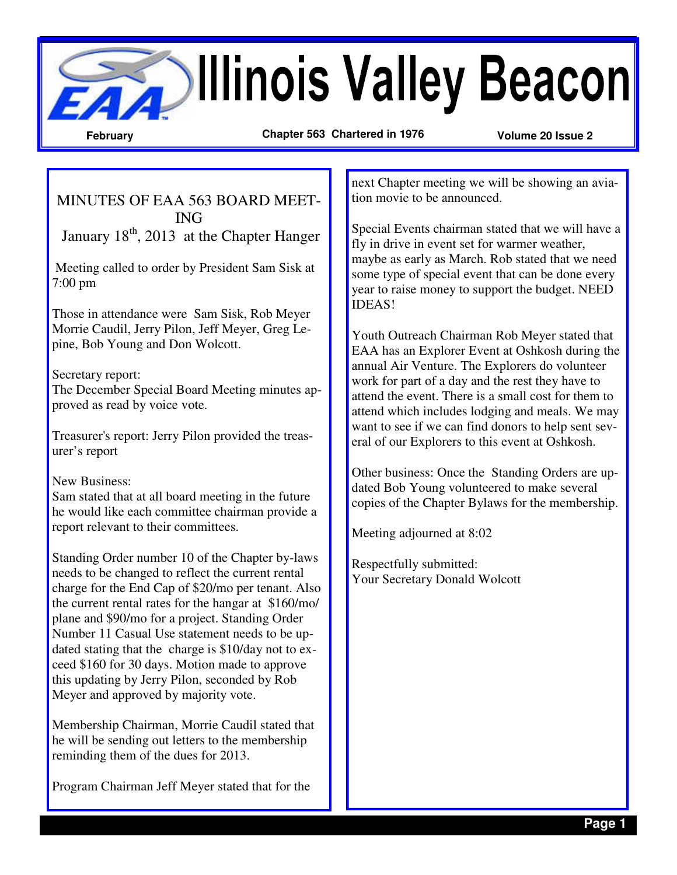**Beacon February Chapter 563 Chartered in 1976 Volume 20 Issue 2** 

MINUTES OF EAA 563 BOARD MEET-ING January  $18<sup>th</sup>$ , 2013 at the Chapter Hanger

 Meeting called to order by President Sam Sisk at 7:00 pm

Those in attendance were Sam Sisk, Rob Meyer Morrie Caudil, Jerry Pilon, Jeff Meyer, Greg Lepine, Bob Young and Don Wolcott.

## Secretary report:

The December Special Board Meeting minutes approved as read by voice vote.

Treasurer's report: Jerry Pilon provided the treasurer's report

## New Business:

Sam stated that at all board meeting in the future he would like each committee chairman provide a report relevant to their committees.

Standing Order number 10 of the Chapter by-laws needs to be changed to reflect the current rental charge for the End Cap of \$20/mo per tenant. Also the current rental rates for the hangar at \$160/mo/ plane and \$90/mo for a project. Standing Order Number 11 Casual Use statement needs to be updated stating that the charge is \$10/day not to exceed \$160 for 30 days. Motion made to approve this updating by Jerry Pilon, seconded by Rob Meyer and approved by majority vote.

Membership Chairman, Morrie Caudil stated that he will be sending out letters to the membership reminding them of the dues for 2013.

Program Chairman Jeff Meyer stated that for the

next Chapter meeting we will be showing an aviation movie to be announced.

Special Events chairman stated that we will have a fly in drive in event set for warmer weather, maybe as early as March. Rob stated that we need some type of special event that can be done every year to raise money to support the budget. NEED IDEAS!

Youth Outreach Chairman Rob Meyer stated that EAA has an Explorer Event at Oshkosh during the annual Air Venture. The Explorers do volunteer work for part of a day and the rest they have to attend the event. There is a small cost for them to attend which includes lodging and meals. We may want to see if we can find donors to help sent several of our Explorers to this event at Oshkosh.

Other business: Once the Standing Orders are updated Bob Young volunteered to make several copies of the Chapter Bylaws for the membership.

Meeting adjourned at 8:02

Respectfully submitted: Your Secretary Donald Wolcott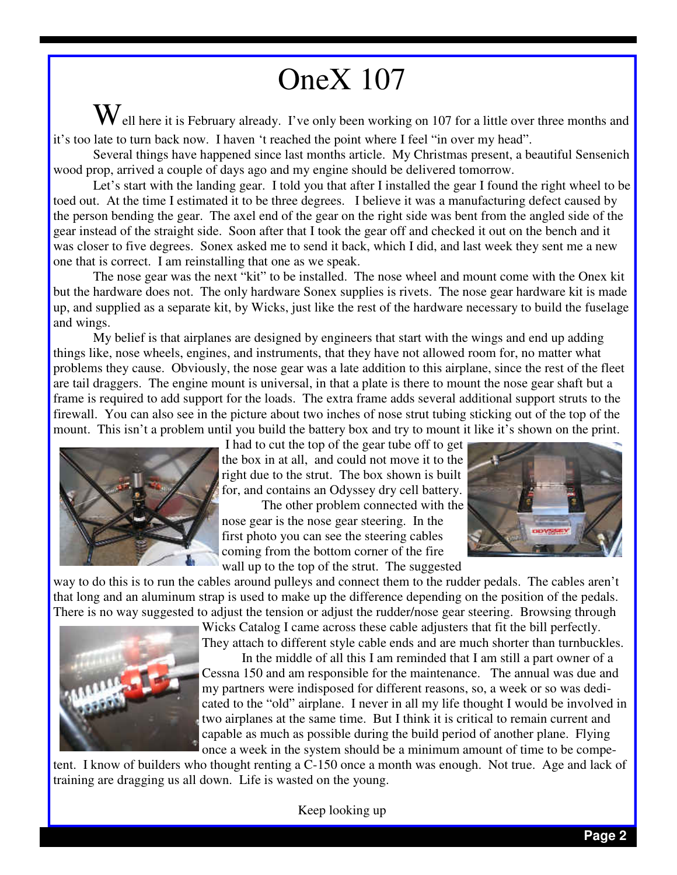## OneX 107

 $\bf{W}$ ell here it is February already. I've only been working on 107 for a little over three months and it's too late to turn back now. I haven 't reached the point where I feel "in over my head".

 Several things have happened since last months article. My Christmas present, a beautiful Sensenich wood prop, arrived a couple of days ago and my engine should be delivered tomorrow.

 Let's start with the landing gear. I told you that after I installed the gear I found the right wheel to be toed out. At the time I estimated it to be three degrees. I believe it was a manufacturing defect caused by the person bending the gear. The axel end of the gear on the right side was bent from the angled side of the gear instead of the straight side. Soon after that I took the gear off and checked it out on the bench and it was closer to five degrees. Sonex asked me to send it back, which I did, and last week they sent me a new one that is correct. I am reinstalling that one as we speak.

 The nose gear was the next "kit" to be installed. The nose wheel and mount come with the Onex kit but the hardware does not. The only hardware Sonex supplies is rivets. The nose gear hardware kit is made up, and supplied as a separate kit, by Wicks, just like the rest of the hardware necessary to build the fuselage and wings.

 My belief is that airplanes are designed by engineers that start with the wings and end up adding things like, nose wheels, engines, and instruments, that they have not allowed room for, no matter what problems they cause. Obviously, the nose gear was a late addition to this airplane, since the rest of the fleet are tail draggers. The engine mount is universal, in that a plate is there to mount the nose gear shaft but a frame is required to add support for the loads. The extra frame adds several additional support struts to the firewall. You can also see in the picture about two inches of nose strut tubing sticking out of the top of the mount. This isn't a problem until you build the battery box and try to mount it like it's shown on the print.



 I had to cut the top of the gear tube off to get the box in at all, and could not move it to the right due to the strut. The box shown is built for, and contains an Odyssey dry cell battery.

 The other problem connected with the nose gear is the nose gear steering. In the first photo you can see the steering cables coming from the bottom corner of the fire wall up to the top of the strut. The suggested



way to do this is to run the cables around pulleys and connect them to the rudder pedals. The cables aren't that long and an aluminum strap is used to make up the difference depending on the position of the pedals. There is no way suggested to adjust the tension or adjust the rudder/nose gear steering. Browsing through



Wicks Catalog I came across these cable adjusters that fit the bill perfectly. They attach to different style cable ends and are much shorter than turnbuckles.

 In the middle of all this I am reminded that I am still a part owner of a Cessna 150 and am responsible for the maintenance. The annual was due and my partners were indisposed for different reasons, so, a week or so was dedicated to the "old" airplane. I never in all my life thought I would be involved in two airplanes at the same time. But I think it is critical to remain current and capable as much as possible during the build period of another plane. Flying once a week in the system should be a minimum amount of time to be compe-

tent. I know of builders who thought renting a C-150 once a month was enough. Not true. Age and lack of training are dragging us all down. Life is wasted on the young.

Keep looking up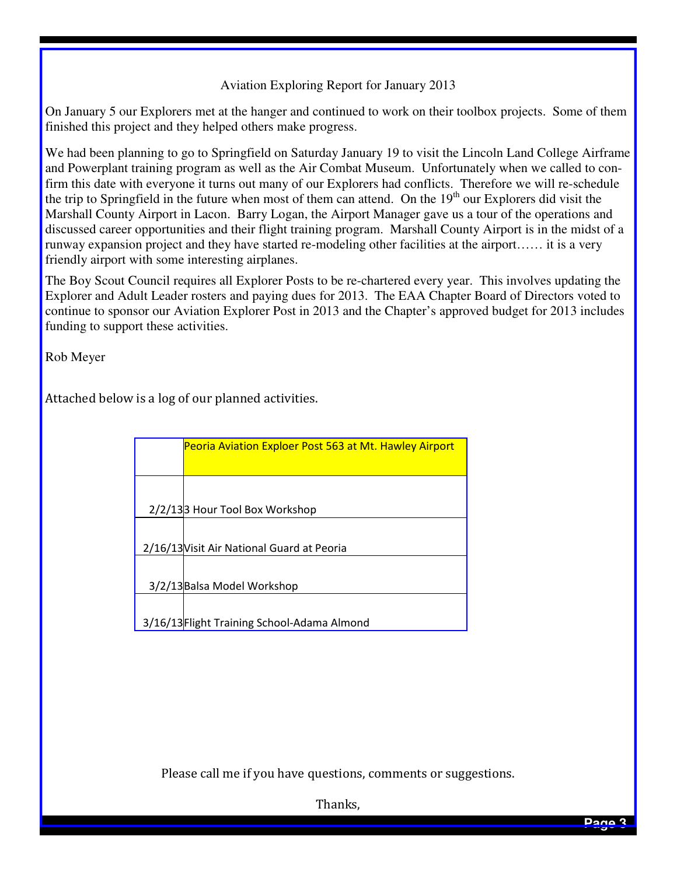## Aviation Exploring Report for January 2013

On January 5 our Explorers met at the hanger and continued to work on their toolbox projects. Some of them finished this project and they helped others make progress.

We had been planning to go to Springfield on Saturday January 19 to visit the Lincoln Land College Airframe and Powerplant training program as well as the Air Combat Museum. Unfortunately when we called to confirm this date with everyone it turns out many of our Explorers had conflicts. Therefore we will re-schedule the trip to Springfield in the future when most of them can attend. On the  $19<sup>th</sup>$  our Explorers did visit the Marshall County Airport in Lacon. Barry Logan, the Airport Manager gave us a tour of the operations and discussed career opportunities and their flight training program. Marshall County Airport is in the midst of a runway expansion project and they have started re-modeling other facilities at the airport…… it is a very friendly airport with some interesting airplanes.

The Boy Scout Council requires all Explorer Posts to be re-chartered every year. This involves updating the Explorer and Adult Leader rosters and paying dues for 2013. The EAA Chapter Board of Directors voted to continue to sponsor our Aviation Explorer Post in 2013 and the Chapter's approved budget for 2013 includes funding to support these activities.

Rob Meyer

Attached below is a log of our planned activities.

| <b>Peoria Aviation Exploer Post 563 at Mt. Hawley Airport</b> |
|---------------------------------------------------------------|
| 2/2/133 Hour Tool Box Workshop                                |
|                                                               |
| 2/16/13 Visit Air National Guard at Peoria                    |
| 3/2/13 Balsa Model Workshop                                   |
| 3/16/13 Flight Training School-Adama Almond                   |

Please call me if you have questions, comments or suggestions.

Thanks,